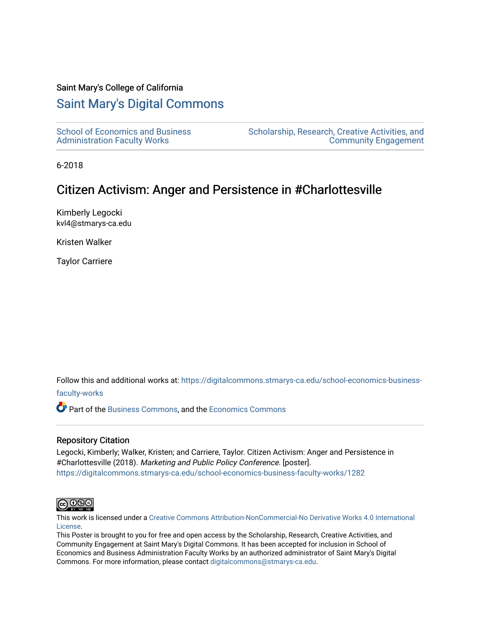#### Saint Mary's College of California

### [Saint Mary's Digital Commons](https://digitalcommons.stmarys-ca.edu/)

[School of Economics and Business](https://digitalcommons.stmarys-ca.edu/school-economics-business-faculty-works)  [Administration Faculty Works](https://digitalcommons.stmarys-ca.edu/school-economics-business-faculty-works)

[Scholarship, Research, Creative Activities, and](https://digitalcommons.stmarys-ca.edu/scholarship-research-community)  [Community Engagement](https://digitalcommons.stmarys-ca.edu/scholarship-research-community) 

6-2018

### Citizen Activism: Anger and Persistence in #Charlottesville

Kimberly Legocki kvl4@stmarys-ca.edu

Kristen Walker

Taylor Carriere

Follow this and additional works at: [https://digitalcommons.stmarys-ca.edu/school-economics-business-](https://digitalcommons.stmarys-ca.edu/school-economics-business-faculty-works?utm_source=digitalcommons.stmarys-ca.edu%2Fschool-economics-business-faculty-works%2F1282&utm_medium=PDF&utm_campaign=PDFCoverPages)

[faculty-works](https://digitalcommons.stmarys-ca.edu/school-economics-business-faculty-works?utm_source=digitalcommons.stmarys-ca.edu%2Fschool-economics-business-faculty-works%2F1282&utm_medium=PDF&utm_campaign=PDFCoverPages) 

Part of the [Business Commons](http://network.bepress.com/hgg/discipline/622?utm_source=digitalcommons.stmarys-ca.edu%2Fschool-economics-business-faculty-works%2F1282&utm_medium=PDF&utm_campaign=PDFCoverPages), and the [Economics Commons](http://network.bepress.com/hgg/discipline/340?utm_source=digitalcommons.stmarys-ca.edu%2Fschool-economics-business-faculty-works%2F1282&utm_medium=PDF&utm_campaign=PDFCoverPages)

#### Repository Citation

Legocki, Kimberly; Walker, Kristen; and Carriere, Taylor. Citizen Activism: Anger and Persistence in #Charlottesville (2018). Marketing and Public Policy Conference. [poster]. [https://digitalcommons.stmarys-ca.edu/school-economics-business-faculty-works/1282](https://digitalcommons.stmarys-ca.edu/school-economics-business-faculty-works/1282?utm_source=digitalcommons.stmarys-ca.edu%2Fschool-economics-business-faculty-works%2F1282&utm_medium=PDF&utm_campaign=PDFCoverPages) 



This work is licensed under a [Creative Commons Attribution-NonCommercial-No Derivative Works 4.0 International](https://creativecommons.org/licenses/by-nc-nd/4.0/) [License.](https://creativecommons.org/licenses/by-nc-nd/4.0/)

This Poster is brought to you for free and open access by the Scholarship, Research, Creative Activities, and Community Engagement at Saint Mary's Digital Commons. It has been accepted for inclusion in School of Economics and Business Administration Faculty Works by an authorized administrator of Saint Mary's Digital Commons. For more information, please contact [digitalcommons@stmarys-ca.edu](mailto:digitalcommons@stmarys-ca.edu).